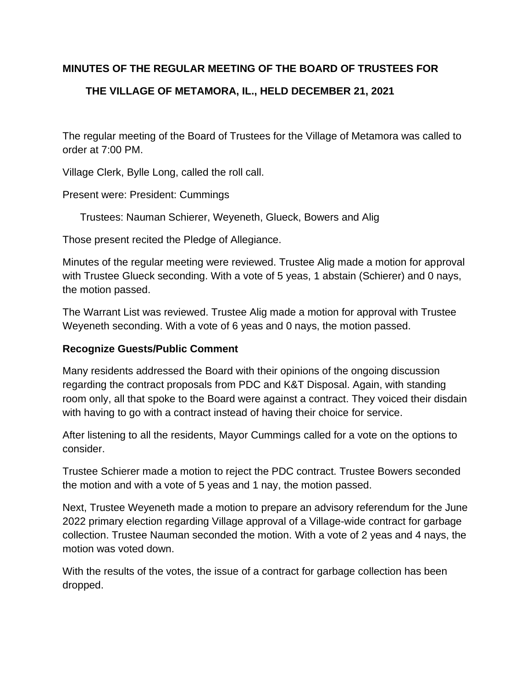# **MINUTES OF THE REGULAR MEETING OF THE BOARD OF TRUSTEES FOR**

# **THE VILLAGE OF METAMORA, IL., HELD DECEMBER 21, 2021**

The regular meeting of the Board of Trustees for the Village of Metamora was called to order at 7:00 PM.

Village Clerk, Bylle Long, called the roll call.

Present were: President: Cummings

Trustees: Nauman Schierer, Weyeneth, Glueck, Bowers and Alig

Those present recited the Pledge of Allegiance.

Minutes of the regular meeting were reviewed. Trustee Alig made a motion for approval with Trustee Glueck seconding. With a vote of 5 yeas, 1 abstain (Schierer) and 0 nays, the motion passed.

The Warrant List was reviewed. Trustee Alig made a motion for approval with Trustee Weyeneth seconding. With a vote of 6 yeas and 0 nays, the motion passed.

### **Recognize Guests/Public Comment**

Many residents addressed the Board with their opinions of the ongoing discussion regarding the contract proposals from PDC and K&T Disposal. Again, with standing room only, all that spoke to the Board were against a contract. They voiced their disdain with having to go with a contract instead of having their choice for service.

After listening to all the residents, Mayor Cummings called for a vote on the options to consider.

Trustee Schierer made a motion to reject the PDC contract. Trustee Bowers seconded the motion and with a vote of 5 yeas and 1 nay, the motion passed.

Next, Trustee Weyeneth made a motion to prepare an advisory referendum for the June 2022 primary election regarding Village approval of a Village-wide contract for garbage collection. Trustee Nauman seconded the motion. With a vote of 2 yeas and 4 nays, the motion was voted down.

With the results of the votes, the issue of a contract for garbage collection has been dropped.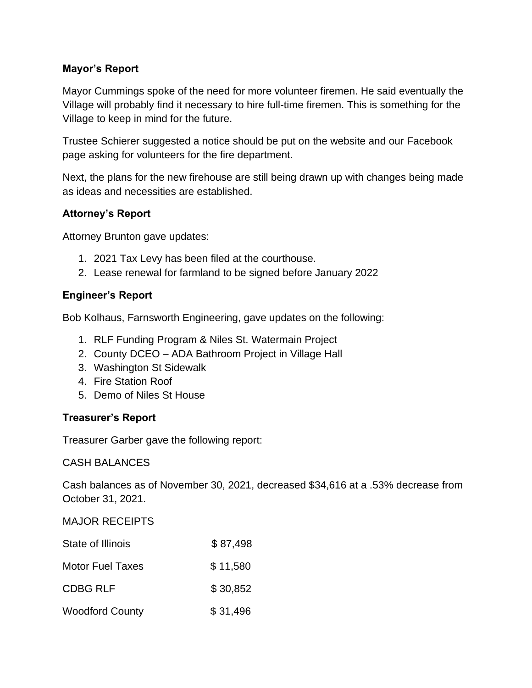## **Mayor's Report**

Mayor Cummings spoke of the need for more volunteer firemen. He said eventually the Village will probably find it necessary to hire full-time firemen. This is something for the Village to keep in mind for the future.

Trustee Schierer suggested a notice should be put on the website and our Facebook page asking for volunteers for the fire department.

Next, the plans for the new firehouse are still being drawn up with changes being made as ideas and necessities are established.

### **Attorney's Report**

Attorney Brunton gave updates:

- 1. 2021 Tax Levy has been filed at the courthouse.
- 2. Lease renewal for farmland to be signed before January 2022

### **Engineer's Report**

Bob Kolhaus, Farnsworth Engineering, gave updates on the following:

- 1. RLF Funding Program & Niles St. Watermain Project
- 2. County DCEO ADA Bathroom Project in Village Hall
- 3. Washington St Sidewalk
- 4. Fire Station Roof
- 5. Demo of Niles St House

### **Treasurer's Report**

Treasurer Garber gave the following report:

CASH BALANCES

Cash balances as of November 30, 2021, decreased \$34,616 at a .53% decrease from October 31, 2021.

### MAJOR RECEIPTS

| State of Illinois       | \$87,498 |
|-------------------------|----------|
| <b>Motor Fuel Taxes</b> | \$11,580 |
| <b>CDBG RLF</b>         | \$30,852 |
| <b>Woodford County</b>  | \$31,496 |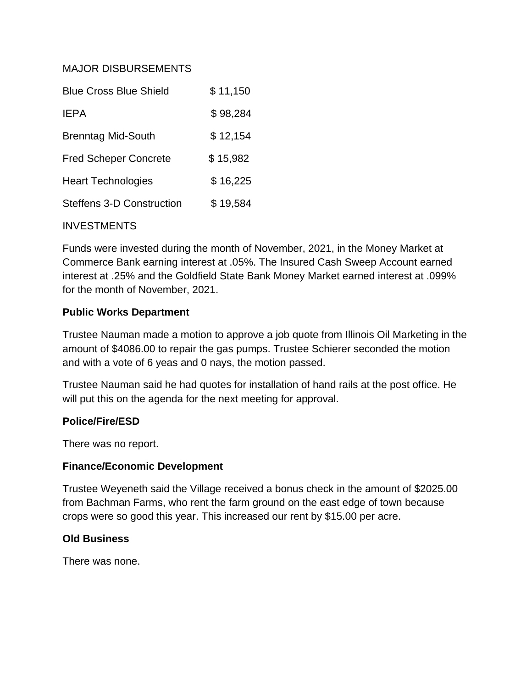### MAJOR DISBURSEMENTS

| <b>Blue Cross Blue Shield</b>    | \$11,150 |
|----------------------------------|----------|
| <b>IEPA</b>                      | \$98,284 |
| <b>Brenntag Mid-South</b>        | \$12,154 |
| <b>Fred Scheper Concrete</b>     | \$15,982 |
| <b>Heart Technologies</b>        | \$16,225 |
| <b>Steffens 3-D Construction</b> | \$19,584 |

### INVESTMENTS

Funds were invested during the month of November, 2021, in the Money Market at Commerce Bank earning interest at .05%. The Insured Cash Sweep Account earned interest at .25% and the Goldfield State Bank Money Market earned interest at .099% for the month of November, 2021.

### **Public Works Department**

Trustee Nauman made a motion to approve a job quote from Illinois Oil Marketing in the amount of \$4086.00 to repair the gas pumps. Trustee Schierer seconded the motion and with a vote of 6 yeas and 0 nays, the motion passed.

Trustee Nauman said he had quotes for installation of hand rails at the post office. He will put this on the agenda for the next meeting for approval.

### **Police/Fire/ESD**

There was no report.

### **Finance/Economic Development**

Trustee Weyeneth said the Village received a bonus check in the amount of \$2025.00 from Bachman Farms, who rent the farm ground on the east edge of town because crops were so good this year. This increased our rent by \$15.00 per acre.

### **Old Business**

There was none.